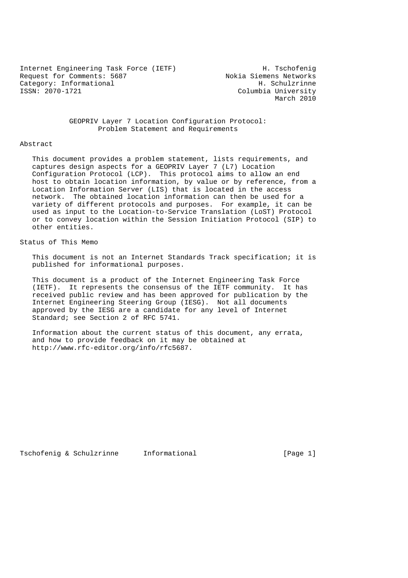Internet Engineering Task Force (IETF) H. Tschofenig<br>Request for Comments: 5687 Mokia Siemens Networks Request for Comments: 5687 Nokia Siemens Networks<br>
Category: Informational Mokia Siemens Networks Category: Informational<br>ISSN: 2070-1721

Columbia University March 2010

 GEOPRIV Layer 7 Location Configuration Protocol: Problem Statement and Requirements

#### Abstract

 This document provides a problem statement, lists requirements, and captures design aspects for a GEOPRIV Layer 7 (L7) Location Configuration Protocol (LCP). This protocol aims to allow an end host to obtain location information, by value or by reference, from a Location Information Server (LIS) that is located in the access network. The obtained location information can then be used for a variety of different protocols and purposes. For example, it can be used as input to the Location-to-Service Translation (LoST) Protocol or to convey location within the Session Initiation Protocol (SIP) to other entities.

## Status of This Memo

 This document is not an Internet Standards Track specification; it is published for informational purposes.

 This document is a product of the Internet Engineering Task Force (IETF). It represents the consensus of the IETF community. It has received public review and has been approved for publication by the Internet Engineering Steering Group (IESG). Not all documents approved by the IESG are a candidate for any level of Internet Standard; see Section 2 of RFC 5741.

 Information about the current status of this document, any errata, and how to provide feedback on it may be obtained at http://www.rfc-editor.org/info/rfc5687.

Tschofenig & Schulzrinne Informational (Page 1)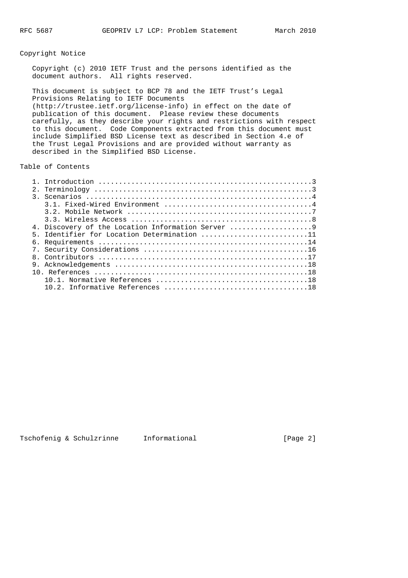### Copyright Notice

 Copyright (c) 2010 IETF Trust and the persons identified as the document authors. All rights reserved.

 This document is subject to BCP 78 and the IETF Trust's Legal Provisions Relating to IETF Documents (http://trustee.ietf.org/license-info) in effect on the date of publication of this document. Please review these documents carefully, as they describe your rights and restrictions with respect to this document. Code Components extracted from this document must include Simplified BSD License text as described in Section 4.e of the Trust Legal Provisions and are provided without warranty as described in the Simplified BSD License.

Table of Contents

| 2.1 |                                                 |
|-----|-------------------------------------------------|
|     |                                                 |
|     |                                                 |
|     |                                                 |
|     |                                                 |
|     | 4. Discovery of the Location Information Server |
|     | 5. Identifier for Location Determination 11     |
|     |                                                 |
|     |                                                 |
|     |                                                 |
|     |                                                 |
|     |                                                 |
|     |                                                 |
|     |                                                 |
|     |                                                 |

| Tschofenig & Schulzrinne |  |  |
|--------------------------|--|--|
|                          |  |  |

Informational [Page 2]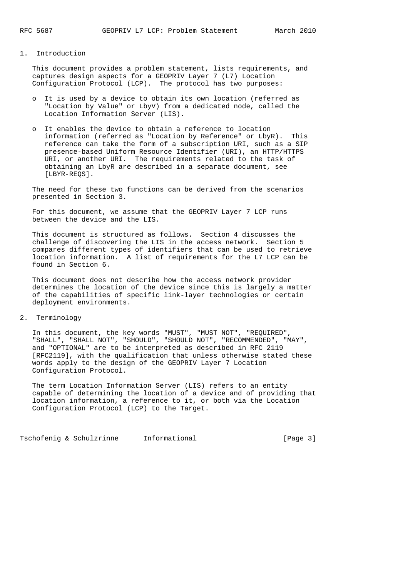#### 1. Introduction

 This document provides a problem statement, lists requirements, and captures design aspects for a GEOPRIV Layer 7 (L7) Location Configuration Protocol (LCP). The protocol has two purposes:

- o It is used by a device to obtain its own location (referred as "Location by Value" or LbyV) from a dedicated node, called the Location Information Server (LIS).
- o It enables the device to obtain a reference to location information (referred as "Location by Reference" or LbyR). This reference can take the form of a subscription URI, such as a SIP presence-based Uniform Resource Identifier (URI), an HTTP/HTTPS URI, or another URI. The requirements related to the task of obtaining an LbyR are described in a separate document, see [LBYR-REQS].

 The need for these two functions can be derived from the scenarios presented in Section 3.

 For this document, we assume that the GEOPRIV Layer 7 LCP runs between the device and the LIS.

 This document is structured as follows. Section 4 discusses the challenge of discovering the LIS in the access network. Section 5 compares different types of identifiers that can be used to retrieve location information. A list of requirements for the L7 LCP can be found in Section 6.

 This document does not describe how the access network provider determines the location of the device since this is largely a matter of the capabilities of specific link-layer technologies or certain deployment environments.

2. Terminology

 In this document, the key words "MUST", "MUST NOT", "REQUIRED", "SHALL", "SHALL NOT", "SHOULD", "SHOULD NOT", "RECOMMENDED", "MAY", and "OPTIONAL" are to be interpreted as described in RFC 2119 [RFC2119], with the qualification that unless otherwise stated these words apply to the design of the GEOPRIV Layer 7 Location Configuration Protocol.

 The term Location Information Server (LIS) refers to an entity capable of determining the location of a device and of providing that location information, a reference to it, or both via the Location Configuration Protocol (LCP) to the Target.

Tschofenig & Schulzrinne Informational (Page 3)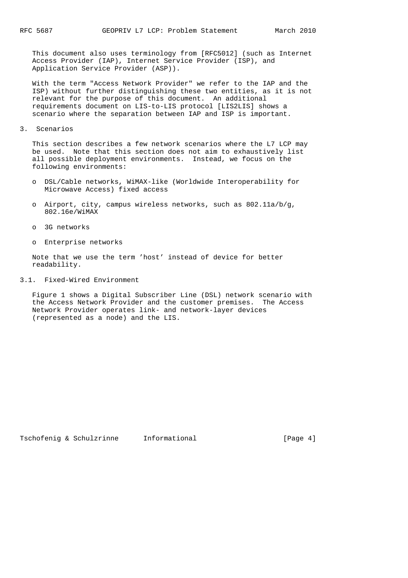This document also uses terminology from [RFC5012] (such as Internet Access Provider (IAP), Internet Service Provider (ISP), and Application Service Provider (ASP)).

 With the term "Access Network Provider" we refer to the IAP and the ISP) without further distinguishing these two entities, as it is not relevant for the purpose of this document. An additional requirements document on LIS-to-LIS protocol [LIS2LIS] shows a scenario where the separation between IAP and ISP is important.

3. Scenarios

 This section describes a few network scenarios where the L7 LCP may be used. Note that this section does not aim to exhaustively list all possible deployment environments. Instead, we focus on the following environments:

- o DSL/Cable networks, WiMAX-like (Worldwide Interoperability for Microwave Access) fixed access
- o Airport, city, campus wireless networks, such as 802.11a/b/g, 802.16e/WiMAX
- o 3G networks
- o Enterprise networks

 Note that we use the term 'host' instead of device for better readability.

#### 3.1. Fixed-Wired Environment

 Figure 1 shows a Digital Subscriber Line (DSL) network scenario with the Access Network Provider and the customer premises. The Access Network Provider operates link- and network-layer devices (represented as a node) and the LIS.

Tschofenig & Schulzrinne Informational (Page 4)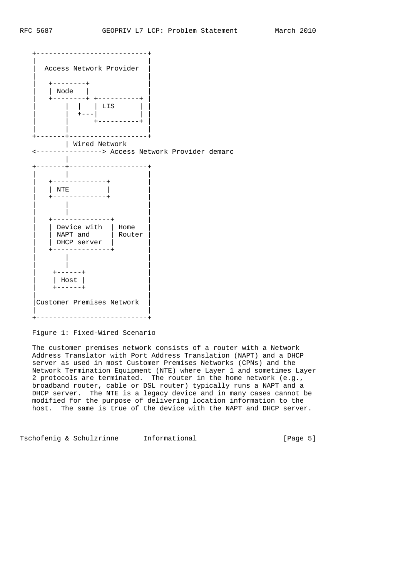

Figure 1: Fixed-Wired Scenario

 The customer premises network consists of a router with a Network Address Translator with Port Address Translation (NAPT) and a DHCP server as used in most Customer Premises Networks (CPNs) and the Network Termination Equipment (NTE) where Layer 1 and sometimes Layer 2 protocols are terminated. The router in the home network (e.g., broadband router, cable or DSL router) typically runs a NAPT and a DHCP server. The NTE is a legacy device and in many cases cannot be modified for the purpose of delivering location information to the host. The same is true of the device with the NAPT and DHCP server.

Tschofenig & Schulzrinne Informational (Page 5)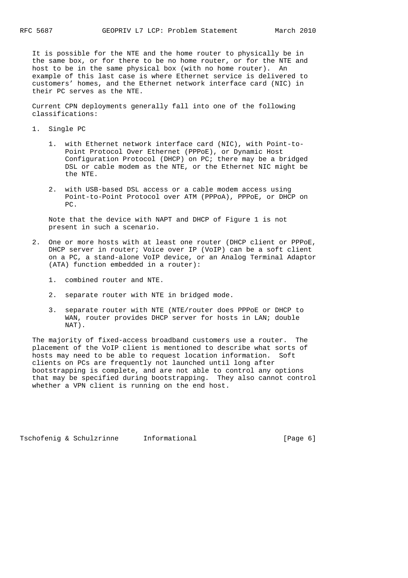It is possible for the NTE and the home router to physically be in the same box, or for there to be no home router, or for the NTE and host to be in the same physical box (with no home router). An example of this last case is where Ethernet service is delivered to customers' homes, and the Ethernet network interface card (NIC) in their PC serves as the NTE.

 Current CPN deployments generally fall into one of the following classifications:

- 1. Single PC
- 1. with Ethernet network interface card (NIC), with Point-to- Point Protocol Over Ethernet (PPPoE), or Dynamic Host Configuration Protocol (DHCP) on PC; there may be a bridged DSL or cable modem as the NTE, or the Ethernet NIC might be the NTE.
	- 2. with USB-based DSL access or a cable modem access using Point-to-Point Protocol over ATM (PPPoA), PPPoE, or DHCP on  $P<sub>C</sub>$

 Note that the device with NAPT and DHCP of Figure 1 is not present in such a scenario.

- 2. One or more hosts with at least one router (DHCP client or PPPoE, DHCP server in router; Voice over IP (VoIP) can be a soft client on a PC, a stand-alone VoIP device, or an Analog Terminal Adaptor (ATA) function embedded in a router):
	- 1. combined router and NTE.
	- 2. separate router with NTE in bridged mode.
	- 3. separate router with NTE (NTE/router does PPPoE or DHCP to WAN, router provides DHCP server for hosts in LAN; double NAT).

 The majority of fixed-access broadband customers use a router. The placement of the VoIP client is mentioned to describe what sorts of hosts may need to be able to request location information. Soft clients on PCs are frequently not launched until long after bootstrapping is complete, and are not able to control any options that may be specified during bootstrapping. They also cannot control whether a VPN client is running on the end host.

Tschofenig & Schulzrinne Informational (Page 6)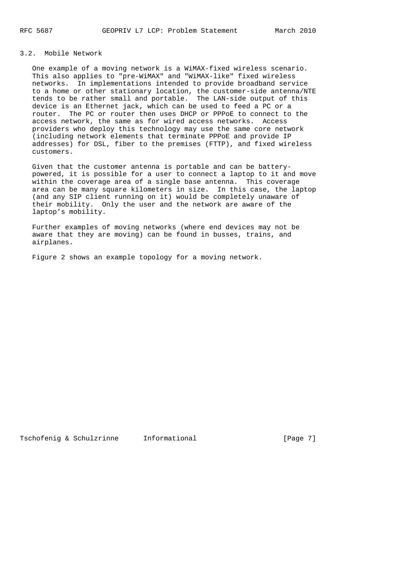# 3.2. Mobile Network

 One example of a moving network is a WiMAX-fixed wireless scenario. This also applies to "pre-WiMAX" and "WiMAX-like" fixed wireless networks. In implementations intended to provide broadband service to a home or other stationary location, the customer-side antenna/NTE tends to be rather small and portable. The LAN-side output of this device is an Ethernet jack, which can be used to feed a PC or a router. The PC or router then uses DHCP or PPPoE to connect to the access network, the same as for wired access networks. Access providers who deploy this technology may use the same core network (including network elements that terminate PPPoE and provide IP addresses) for DSL, fiber to the premises (FTTP), and fixed wireless customers.

 Given that the customer antenna is portable and can be battery powered, it is possible for a user to connect a laptop to it and move within the coverage area of a single base antenna. This coverage area can be many square kilometers in size. In this case, the laptop (and any SIP client running on it) would be completely unaware of their mobility. Only the user and the network are aware of the laptop's mobility.

 Further examples of moving networks (where end devices may not be aware that they are moving) can be found in busses, trains, and airplanes.

Figure 2 shows an example topology for a moving network.

Tschofenig & Schulzrinne Informational (Page 7)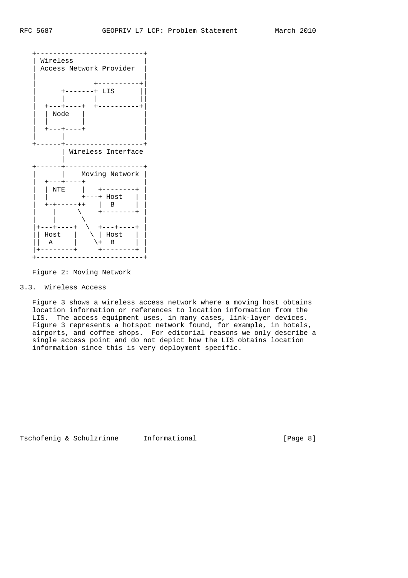

Figure 2: Moving Network

### 3.3. Wireless Access

 Figure 3 shows a wireless access network where a moving host obtains location information or references to location information from the LIS. The access equipment uses, in many cases, link-layer devices. Figure 3 represents a hotspot network found, for example, in hotels, airports, and coffee shops. For editorial reasons we only describe a single access point and do not depict how the LIS obtains location information since this is very deployment specific.

Tschofenig & Schulzrinne Informational [Page 8]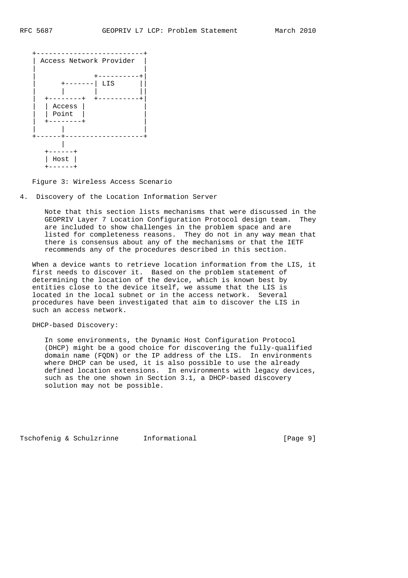

Figure 3: Wireless Access Scenario

4. Discovery of the Location Information Server

 Note that this section lists mechanisms that were discussed in the GEOPRIV Layer 7 Location Configuration Protocol design team. They are included to show challenges in the problem space and are listed for completeness reasons. They do not in any way mean that there is consensus about any of the mechanisms or that the IETF recommends any of the procedures described in this section.

 When a device wants to retrieve location information from the LIS, it first needs to discover it. Based on the problem statement of determining the location of the device, which is known best by entities close to the device itself, we assume that the LIS is located in the local subnet or in the access network. Several procedures have been investigated that aim to discover the LIS in such an access network.

DHCP-based Discovery:

 In some environments, the Dynamic Host Configuration Protocol (DHCP) might be a good choice for discovering the fully-qualified domain name (FQDN) or the IP address of the LIS. In environments where DHCP can be used, it is also possible to use the already defined location extensions. In environments with legacy devices, such as the one shown in Section 3.1, a DHCP-based discovery solution may not be possible.

Tschofenig & Schulzrinne Informational (Page 9)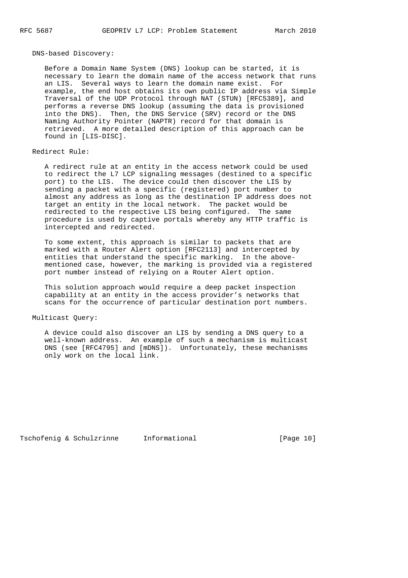DNS-based Discovery:

 Before a Domain Name System (DNS) lookup can be started, it is necessary to learn the domain name of the access network that runs an LIS. Several ways to learn the domain name exist. For example, the end host obtains its own public IP address via Simple Traversal of the UDP Protocol through NAT (STUN) [RFC5389], and performs a reverse DNS lookup (assuming the data is provisioned into the DNS). Then, the DNS Service (SRV) record or the DNS Naming Authority Pointer (NAPTR) record for that domain is retrieved. A more detailed description of this approach can be found in [LIS-DISC].

### Redirect Rule:

 A redirect rule at an entity in the access network could be used to redirect the L7 LCP signaling messages (destined to a specific port) to the LIS. The device could then discover the LIS by sending a packet with a specific (registered) port number to almost any address as long as the destination IP address does not target an entity in the local network. The packet would be redirected to the respective LIS being configured. The same procedure is used by captive portals whereby any HTTP traffic is intercepted and redirected.

 To some extent, this approach is similar to packets that are marked with a Router Alert option [RFC2113] and intercepted by entities that understand the specific marking. In the above mentioned case, however, the marking is provided via a registered port number instead of relying on a Router Alert option.

 This solution approach would require a deep packet inspection capability at an entity in the access provider's networks that scans for the occurrence of particular destination port numbers.

### Multicast Query:

 A device could also discover an LIS by sending a DNS query to a well-known address. An example of such a mechanism is multicast DNS (see [RFC4795] and [mDNS]). Unfortunately, these mechanisms only work on the local link.

Tschofenig & Schulzrinne Informational [Page 10]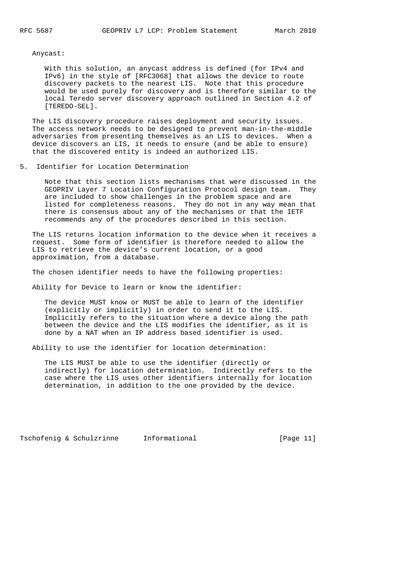Anycast:

 With this solution, an anycast address is defined (for IPv4 and IPv6) in the style of [RFC3068] that allows the device to route discovery packets to the nearest LIS. Note that this procedure would be used purely for discovery and is therefore similar to the local Teredo server discovery approach outlined in Section 4.2 of [TEREDO-SEL].

 The LIS discovery procedure raises deployment and security issues. The access network needs to be designed to prevent man-in-the-middle adversaries from presenting themselves as an LIS to devices. When a device discovers an LIS, it needs to ensure (and be able to ensure) that the discovered entity is indeed an authorized LIS.

5. Identifier for Location Determination

 Note that this section lists mechanisms that were discussed in the GEOPRIV Layer 7 Location Configuration Protocol design team. They are included to show challenges in the problem space and are listed for completeness reasons. They do not in any way mean that there is consensus about any of the mechanisms or that the IETF recommends any of the procedures described in this section.

 The LIS returns location information to the device when it receives a request. Some form of identifier is therefore needed to allow the LIS to retrieve the device's current location, or a good approximation, from a database.

The chosen identifier needs to have the following properties:

Ability for Device to learn or know the identifier:

 The device MUST know or MUST be able to learn of the identifier (explicitly or implicitly) in order to send it to the LIS. Implicitly refers to the situation where a device along the path between the device and the LIS modifies the identifier, as it is done by a NAT when an IP address based identifier is used.

Ability to use the identifier for location determination:

 The LIS MUST be able to use the identifier (directly or indirectly) for location determination. Indirectly refers to the case where the LIS uses other identifiers internally for location determination, in addition to the one provided by the device.

Tschofenig & Schulzrinne Informational [Page 11]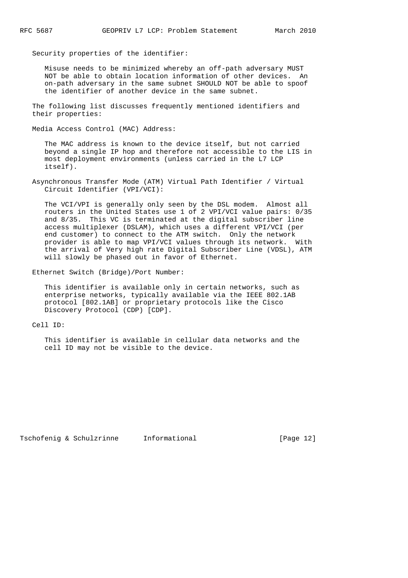Security properties of the identifier:

 Misuse needs to be minimized whereby an off-path adversary MUST NOT be able to obtain location information of other devices. An on-path adversary in the same subnet SHOULD NOT be able to spoof the identifier of another device in the same subnet.

 The following list discusses frequently mentioned identifiers and their properties:

Media Access Control (MAC) Address:

 The MAC address is known to the device itself, but not carried beyond a single IP hop and therefore not accessible to the LIS in most deployment environments (unless carried in the L7 LCP itself).

 Asynchronous Transfer Mode (ATM) Virtual Path Identifier / Virtual Circuit Identifier (VPI/VCI):

 The VCI/VPI is generally only seen by the DSL modem. Almost all routers in the United States use 1 of 2 VPI/VCI value pairs: 0/35 and 8/35. This VC is terminated at the digital subscriber line access multiplexer (DSLAM), which uses a different VPI/VCI (per end customer) to connect to the ATM switch. Only the network provider is able to map VPI/VCI values through its network. With the arrival of Very high rate Digital Subscriber Line (VDSL), ATM will slowly be phased out in favor of Ethernet.

Ethernet Switch (Bridge)/Port Number:

 This identifier is available only in certain networks, such as enterprise networks, typically available via the IEEE 802.1AB protocol [802.1AB] or proprietary protocols like the Cisco Discovery Protocol (CDP) [CDP].

Cell ID:

 This identifier is available in cellular data networks and the cell ID may not be visible to the device.

Tschofenig & Schulzrinne Informational [Page 12]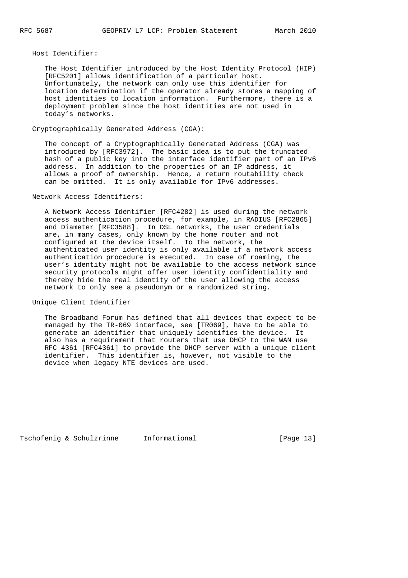Host Identifier:

 The Host Identifier introduced by the Host Identity Protocol (HIP) [RFC5201] allows identification of a particular host. Unfortunately, the network can only use this identifier for location determination if the operator already stores a mapping of host identities to location information. Furthermore, there is a deployment problem since the host identities are not used in today's networks.

Cryptographically Generated Address (CGA):

 The concept of a Cryptographically Generated Address (CGA) was introduced by [RFC3972]. The basic idea is to put the truncated hash of a public key into the interface identifier part of an IPv6 address. In addition to the properties of an IP address, it allows a proof of ownership. Hence, a return routability check can be omitted. It is only available for IPv6 addresses.

### Network Access Identifiers:

 A Network Access Identifier [RFC4282] is used during the network access authentication procedure, for example, in RADIUS [RFC2865] and Diameter [RFC3588]. In DSL networks, the user credentials are, in many cases, only known by the home router and not configured at the device itself. To the network, the authenticated user identity is only available if a network access authentication procedure is executed. In case of roaming, the user's identity might not be available to the access network since security protocols might offer user identity confidentiality and thereby hide the real identity of the user allowing the access network to only see a pseudonym or a randomized string.

Unique Client Identifier

 The Broadband Forum has defined that all devices that expect to be managed by the TR-069 interface, see [TR069], have to be able to generate an identifier that uniquely identifies the device. It also has a requirement that routers that use DHCP to the WAN use RFC 4361 [RFC4361] to provide the DHCP server with a unique client identifier. This identifier is, however, not visible to the device when legacy NTE devices are used.

Tschofenig & Schulzrinne Informational [Page 13]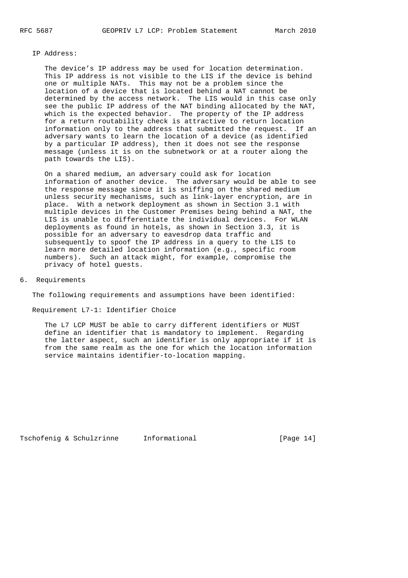#### IP Address:

 The device's IP address may be used for location determination. This IP address is not visible to the LIS if the device is behind one or multiple NATs. This may not be a problem since the location of a device that is located behind a NAT cannot be determined by the access network. The LIS would in this case only see the public IP address of the NAT binding allocated by the NAT, which is the expected behavior. The property of the IP address for a return routability check is attractive to return location information only to the address that submitted the request. If an adversary wants to learn the location of a device (as identified by a particular IP address), then it does not see the response message (unless it is on the subnetwork or at a router along the path towards the LIS).

 On a shared medium, an adversary could ask for location information of another device. The adversary would be able to see the response message since it is sniffing on the shared medium unless security mechanisms, such as link-layer encryption, are in place. With a network deployment as shown in Section 3.1 with multiple devices in the Customer Premises being behind a NAT, the LIS is unable to differentiate the individual devices. For WLAN deployments as found in hotels, as shown in Section 3.3, it is possible for an adversary to eavesdrop data traffic and subsequently to spoof the IP address in a query to the LIS to learn more detailed location information (e.g., specific room numbers). Such an attack might, for example, compromise the privacy of hotel guests.

6. Requirements

The following requirements and assumptions have been identified:

Requirement L7-1: Identifier Choice

 The L7 LCP MUST be able to carry different identifiers or MUST define an identifier that is mandatory to implement. Regarding the latter aspect, such an identifier is only appropriate if it is from the same realm as the one for which the location information service maintains identifier-to-location mapping.

Tschofenig & Schulzrinne Informational [Page 14]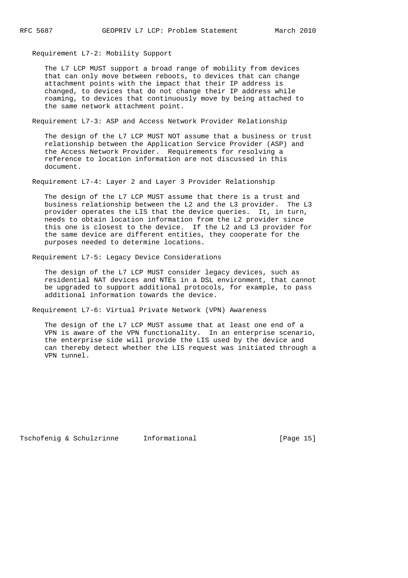Requirement L7-2: Mobility Support

 The L7 LCP MUST support a broad range of mobility from devices that can only move between reboots, to devices that can change attachment points with the impact that their IP address is changed, to devices that do not change their IP address while roaming, to devices that continuously move by being attached to the same network attachment point.

Requirement L7-3: ASP and Access Network Provider Relationship

 The design of the L7 LCP MUST NOT assume that a business or trust relationship between the Application Service Provider (ASP) and the Access Network Provider. Requirements for resolving a reference to location information are not discussed in this document.

Requirement L7-4: Layer 2 and Layer 3 Provider Relationship

 The design of the L7 LCP MUST assume that there is a trust and business relationship between the L2 and the L3 provider. The L3 provider operates the LIS that the device queries. It, in turn, needs to obtain location information from the L2 provider since this one is closest to the device. If the L2 and L3 provider for the same device are different entities, they cooperate for the purposes needed to determine locations.

Requirement L7-5: Legacy Device Considerations

 The design of the L7 LCP MUST consider legacy devices, such as residential NAT devices and NTEs in a DSL environment, that cannot be upgraded to support additional protocols, for example, to pass additional information towards the device.

Requirement L7-6: Virtual Private Network (VPN) Awareness

 The design of the L7 LCP MUST assume that at least one end of a VPN is aware of the VPN functionality. In an enterprise scenario, the enterprise side will provide the LIS used by the device and can thereby detect whether the LIS request was initiated through a VPN tunnel.

Tschofenig & Schulzrinne Informational [Page 15]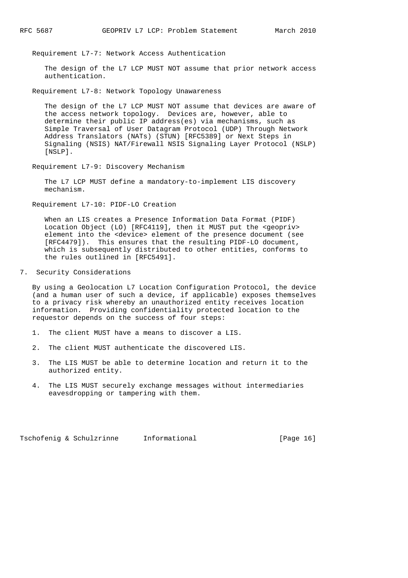Requirement L7-7: Network Access Authentication

 The design of the L7 LCP MUST NOT assume that prior network access authentication.

Requirement L7-8: Network Topology Unawareness

 The design of the L7 LCP MUST NOT assume that devices are aware of the access network topology. Devices are, however, able to determine their public IP address(es) via mechanisms, such as Simple Traversal of User Datagram Protocol (UDP) Through Network Address Translators (NATs) (STUN) [RFC5389] or Next Steps in Signaling (NSIS) NAT/Firewall NSIS Signaling Layer Protocol (NSLP) [NSLP].

Requirement L7-9: Discovery Mechanism

 The L7 LCP MUST define a mandatory-to-implement LIS discovery mechanism.

Requirement L7-10: PIDF-LO Creation

 When an LIS creates a Presence Information Data Format (PIDF) Location Object (LO) [RFC4119], then it MUST put the <geopriv> element into the <device> element of the presence document (see [RFC4479]). This ensures that the resulting PIDF-LO document, which is subsequently distributed to other entities, conforms to the rules outlined in [RFC5491].

7. Security Considerations

 By using a Geolocation L7 Location Configuration Protocol, the device (and a human user of such a device, if applicable) exposes themselves to a privacy risk whereby an unauthorized entity receives location information. Providing confidentiality protected location to the requestor depends on the success of four steps:

- 1. The client MUST have a means to discover a LIS.
- 2. The client MUST authenticate the discovered LIS.
- 3. The LIS MUST be able to determine location and return it to the authorized entity.
- 4. The LIS MUST securely exchange messages without intermediaries eavesdropping or tampering with them.

Tschofenig & Schulzrinne Informational [Page 16]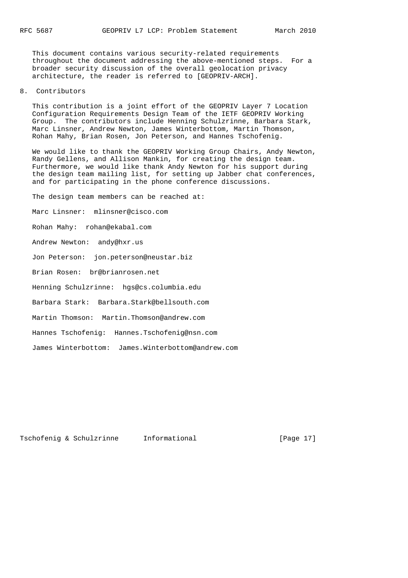This document contains various security-related requirements throughout the document addressing the above-mentioned steps. For a broader security discussion of the overall geolocation privacy architecture, the reader is referred to [GEOPRIV-ARCH].

8. Contributors

 This contribution is a joint effort of the GEOPRIV Layer 7 Location Configuration Requirements Design Team of the IETF GEOPRIV Working Group. The contributors include Henning Schulzrinne, Barbara Stark, Marc Linsner, Andrew Newton, James Winterbottom, Martin Thomson, Rohan Mahy, Brian Rosen, Jon Peterson, and Hannes Tschofenig.

 We would like to thank the GEOPRIV Working Group Chairs, Andy Newton, Randy Gellens, and Allison Mankin, for creating the design team. Furthermore, we would like thank Andy Newton for his support during the design team mailing list, for setting up Jabber chat conferences, and for participating in the phone conference discussions.

The design team members can be reached at:

Marc Linsner: mlinsner@cisco.com

Rohan Mahy: rohan@ekabal.com

Andrew Newton: andy@hxr.us

Jon Peterson: jon.peterson@neustar.biz

Brian Rosen: br@brianrosen.net

Henning Schulzrinne: hgs@cs.columbia.edu

Barbara Stark: Barbara.Stark@bellsouth.com

Martin Thomson: Martin.Thomson@andrew.com

Hannes Tschofenig: Hannes.Tschofenig@nsn.com

James Winterbottom: James.Winterbottom@andrew.com

Tschofenig & Schulzrinne Informational [Page 17]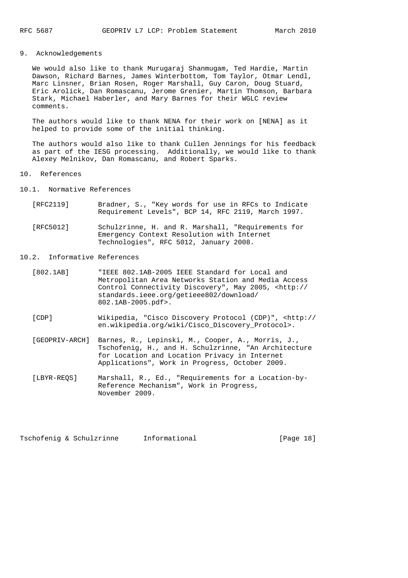### 9. Acknowledgements

 We would also like to thank Murugaraj Shanmugam, Ted Hardie, Martin Dawson, Richard Barnes, James Winterbottom, Tom Taylor, Otmar Lendl, Marc Linsner, Brian Rosen, Roger Marshall, Guy Caron, Doug Stuard, Eric Arolick, Dan Romascanu, Jerome Grenier, Martin Thomson, Barbara Stark, Michael Haberler, and Mary Barnes for their WGLC review comments.

 The authors would like to thank NENA for their work on [NENA] as it helped to provide some of the initial thinking.

 The authors would also like to thank Cullen Jennings for his feedback as part of the IESG processing. Additionally, we would like to thank Alexey Melnikov, Dan Romascanu, and Robert Sparks.

#### 10. References

10.1. Normative References

- [RFC2119] Bradner, S., "Key words for use in RFCs to Indicate Requirement Levels", BCP 14, RFC 2119, March 1997.
- [RFC5012] Schulzrinne, H. and R. Marshall, "Requirements for Emergency Context Resolution with Internet Technologies", RFC 5012, January 2008.

### 10.2. Informative References

- [802.1AB] "IEEE 802.1AB-2005 IEEE Standard for Local and Metropolitan Area Networks Station and Media Access Control Connectivity Discovery", May 2005, <http:// standards.ieee.org/getieee802/download/ 802.1AB-2005.pdf>.
- [CDP] Wikipedia, "Cisco Discovery Protocol (CDP)", <http:// en.wikipedia.org/wiki/Cisco\_Discovery\_Protocol>.
- [GEOPRIV-ARCH] Barnes, R., Lepinski, M., Cooper, A., Morris, J., Tschofenig, H., and H. Schulzrinne, "An Architecture for Location and Location Privacy in Internet Applications", Work in Progress, October 2009.
- [LBYR-REQS] Marshall, R., Ed., "Requirements for a Location-by- Reference Mechanism", Work in Progress, November 2009.

Tschofenig & Schulzrinne Informational [Page 18]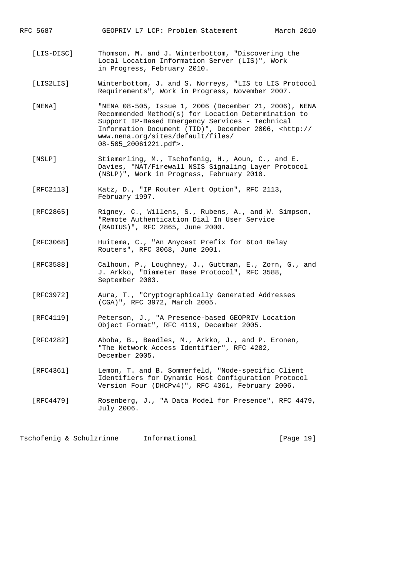RFC 5687 GEOPRIV L7 LCP: Problem Statement March 2010

- [LIS-DISC] Thomson, M. and J. Winterbottom, "Discovering the Local Location Information Server (LIS)", Work in Progress, February 2010.
- [LIS2LIS] Winterbottom, J. and S. Norreys, "LIS to LIS Protocol Requirements", Work in Progress, November 2007.
- [NENA] "NENA 08-505, Issue 1, 2006 (December 21, 2006), NENA Recommended Method(s) for Location Determination to Support IP-Based Emergency Services - Technical Information Document (TID)", December 2006, <http:// www.nena.org/sites/default/files/ 08-505\_20061221.pdf>.
- [NSLP] Stiemerling, M., Tschofenig, H., Aoun, C., and E. Davies, "NAT/Firewall NSIS Signaling Layer Protocol (NSLP)", Work in Progress, February 2010.
- [RFC2113] Katz, D., "IP Router Alert Option", RFC 2113, February 1997.
- [RFC2865] Rigney, C., Willens, S., Rubens, A., and W. Simpson, "Remote Authentication Dial In User Service (RADIUS)", RFC 2865, June 2000.
- [RFC3068] Huitema, C., "An Anycast Prefix for 6to4 Relay Routers", RFC 3068, June 2001.
- [RFC3588] Calhoun, P., Loughney, J., Guttman, E., Zorn, G., and J. Arkko, "Diameter Base Protocol", RFC 3588, September 2003.
- [RFC3972] Aura, T., "Cryptographically Generated Addresses (CGA)", RFC 3972, March 2005.
- [RFC4119] Peterson, J., "A Presence-based GEOPRIV Location Object Format", RFC 4119, December 2005.
- [RFC4282] Aboba, B., Beadles, M., Arkko, J., and P. Eronen, "The Network Access Identifier", RFC 4282, December 2005.
- [RFC4361] Lemon, T. and B. Sommerfeld, "Node-specific Client Identifiers for Dynamic Host Configuration Protocol Version Four (DHCPv4)", RFC 4361, February 2006.
- [RFC4479] Rosenberg, J., "A Data Model for Presence", RFC 4479, July 2006.

Tschofenig & Schulzrinne Informational [Page 19]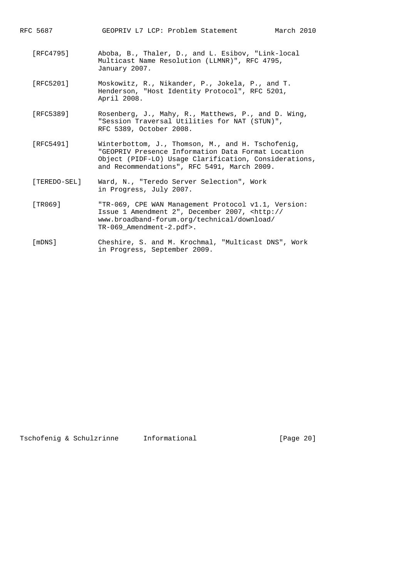RFC 5687 GEOPRIV L7 LCP: Problem Statement March 2010

- [RFC4795] Aboba, B., Thaler, D., and L. Esibov, "Link-local Multicast Name Resolution (LLMNR)", RFC 4795, January 2007.
- [RFC5201] Moskowitz, R., Nikander, P., Jokela, P., and T. Henderson, "Host Identity Protocol", RFC 5201, April 2008.
- [RFC5389] Rosenberg, J., Mahy, R., Matthews, P., and D. Wing, "Session Traversal Utilities for NAT (STUN)", RFC 5389, October 2008.
- [RFC5491] Winterbottom, J., Thomson, M., and H. Tschofenig, "GEOPRIV Presence Information Data Format Location Object (PIDF-LO) Usage Clarification, Considerations, and Recommendations", RFC 5491, March 2009.
- [TEREDO-SEL] Ward, N., "Teredo Server Selection", Work in Progress, July 2007.
- [TR069] "TR-069, CPE WAN Management Protocol v1.1, Version: Issue 1 Amendment 2", December 2007, <http:// www.broadband-forum.org/technical/download/ TR-069\_Amendment-2.pdf>.
- [mDNS] Cheshire, S. and M. Krochmal, "Multicast DNS", Work in Progress, September 2009.

Tschofenig & Schulzrinne Informational [Page 20]